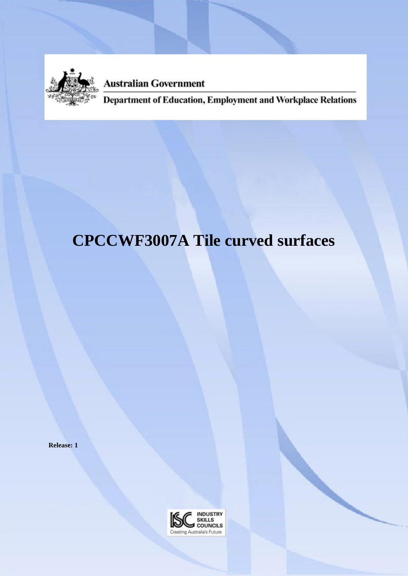

**Australian Government** 

Department of Education, Employment and Workplace Relations

# **CPCCWF3007A Tile curved surfaces**

**Release: 1**

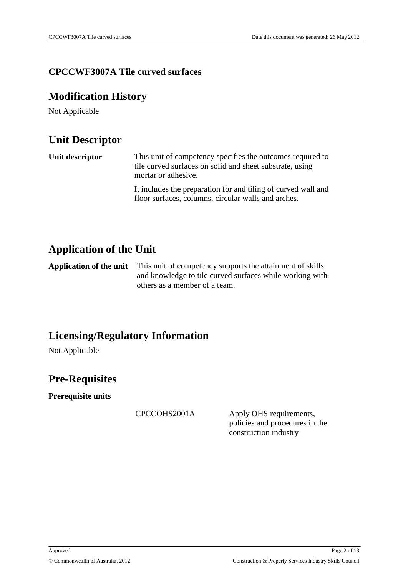### **CPCCWF3007A Tile curved surfaces**

### **Modification History**

Not Applicable

# **Unit Descriptor**

**Unit descriptor** This unit of competency specifies the outcomes required to tile curved surfaces on solid and sheet substrate, using mortar or adhesive.

> It includes the preparation for and tiling of curved wall and floor surfaces, columns, circular walls and arches.

# **Application of the Unit**

**Application of the unit** This unit of competency supports the attainment of skills and knowledge to tile curved surfaces while working with others as a member of a team.

### **Licensing/Regulatory Information**

Not Applicable

### **Pre-Requisites**

**Prerequisite units**

CPCCOHS2001A Apply OHS requirements, policies and procedures in the construction industry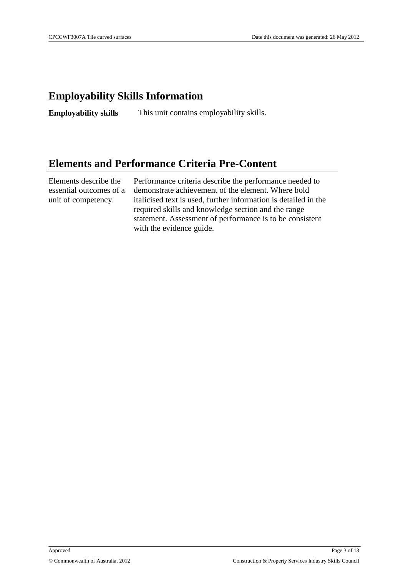### **Employability Skills Information**

**Employability skills** This unit contains employability skills.

### **Elements and Performance Criteria Pre-Content**

Elements describe the essential outcomes of a unit of competency.

Performance criteria describe the performance needed to demonstrate achievement of the element. Where bold italicised text is used, further information is detailed in the required skills and knowledge section and the range statement. Assessment of performance is to be consistent with the evidence guide.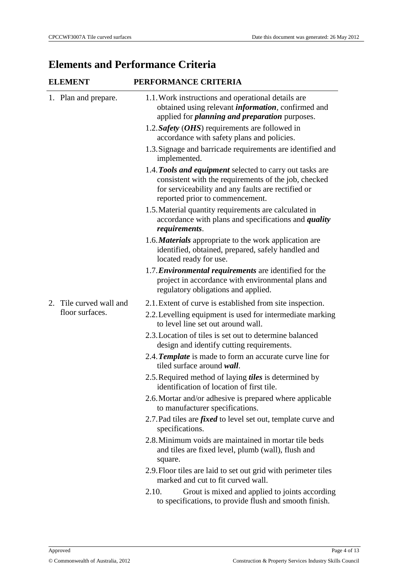# **Elements and Performance Criteria**

| <b>ELEMENT</b>                             | PERFORMANCE CRITERIA                                                                                                                                                                                      |  |
|--------------------------------------------|-----------------------------------------------------------------------------------------------------------------------------------------------------------------------------------------------------------|--|
| 1. Plan and prepare.                       | 1.1. Work instructions and operational details are<br>obtained using relevant <i>information</i> , confirmed and<br>applied for <i>planning and preparation</i> purposes.                                 |  |
|                                            | 1.2. Safety (OHS) requirements are followed in<br>accordance with safety plans and policies.                                                                                                              |  |
|                                            | 1.3. Signage and barricade requirements are identified and<br>implemented.                                                                                                                                |  |
|                                            | 1.4. Tools and equipment selected to carry out tasks are<br>consistent with the requirements of the job, checked<br>for serviceability and any faults are rectified or<br>reported prior to commencement. |  |
|                                            | 1.5. Material quantity requirements are calculated in<br>accordance with plans and specifications and <i>quality</i><br>requirements.                                                                     |  |
|                                            | 1.6. Materials appropriate to the work application are<br>identified, obtained, prepared, safely handled and<br>located ready for use.                                                                    |  |
|                                            | 1.7. Environmental requirements are identified for the<br>project in accordance with environmental plans and<br>regulatory obligations and applied.                                                       |  |
| 2. Tile curved wall and<br>floor surfaces. | 2.1. Extent of curve is established from site inspection.<br>2.2. Levelling equipment is used for intermediate marking<br>to level line set out around wall.                                              |  |
|                                            | 2.3. Location of tiles is set out to determine balanced<br>design and identify cutting requirements.                                                                                                      |  |
|                                            | 2.4. <b>Template</b> is made to form an accurate curve line for<br>tiled surface around wall.                                                                                                             |  |
|                                            | 2.5. Required method of laying <i>tiles</i> is determined by<br>identification of location of first tile.                                                                                                 |  |
|                                            | 2.6. Mortar and/or adhesive is prepared where applicable<br>to manufacturer specifications.                                                                                                               |  |
|                                            | 2.7. Pad tiles are <i>fixed</i> to level set out, template curve and<br>specifications.                                                                                                                   |  |
|                                            | 2.8. Minimum voids are maintained in mortar tile beds<br>and tiles are fixed level, plumb (wall), flush and<br>square.                                                                                    |  |
|                                            | 2.9. Floor tiles are laid to set out grid with perimeter tiles<br>marked and cut to fit curved wall.                                                                                                      |  |
|                                            | 2.10.<br>Grout is mixed and applied to joints according<br>to specifications, to provide flush and smooth finish.                                                                                         |  |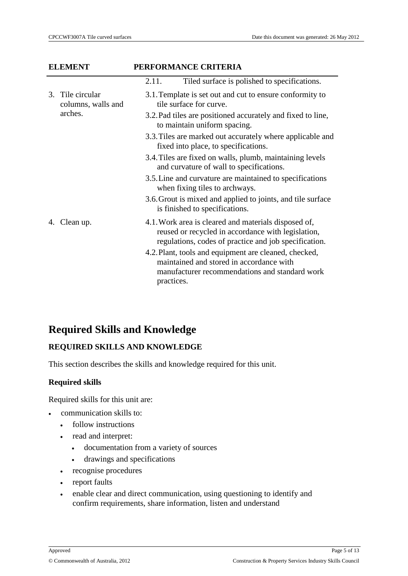# **ELEMENT PERFORMANCE CRITERIA** 2.11. Tiled surface is polished to specifications.

| 3. Tile circular<br>columns, walls and | 3.1. Template is set out and cut to ensure conformity to<br>tile surface for curve.                                                                                 |
|----------------------------------------|---------------------------------------------------------------------------------------------------------------------------------------------------------------------|
| arches.                                | 3.2. Pad tiles are positioned accurately and fixed to line,<br>to maintain uniform spacing.                                                                         |
|                                        | 3.3. Tiles are marked out accurately where applicable and<br>fixed into place, to specifications.                                                                   |
|                                        | 3.4. Tiles are fixed on walls, plumb, maintaining levels<br>and curvature of wall to specifications.                                                                |
|                                        | 3.5. Line and curvature are maintained to specifications<br>when fixing tiles to archways.                                                                          |
|                                        | 3.6. Grout is mixed and applied to joints, and tile surface<br>is finished to specifications.                                                                       |
| 4. Clean up.                           | 4.1. Work area is cleared and materials disposed of,<br>reused or recycled in accordance with legislation,<br>regulations, codes of practice and job specification. |
|                                        | 4.2. Plant, tools and equipment are cleaned, checked,<br>maintained and stored in accordance with<br>manufacturer recommendations and standard work<br>practices.   |

# **Required Skills and Knowledge**

### **REQUIRED SKILLS AND KNOWLEDGE**

This section describes the skills and knowledge required for this unit.

### **Required skills**

Required skills for this unit are:

- communication skills to:
	- follow instructions
	- read and interpret:
		- documentation from a variety of sources
		- drawings and specifications
	- recognise procedures
	- report faults
	- enable clear and direct communication, using questioning to identify and confirm requirements, share information, listen and understand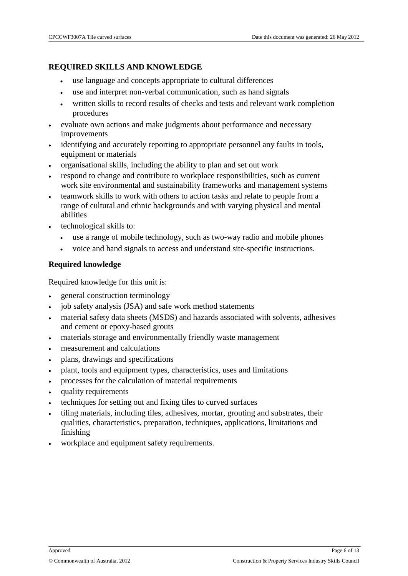#### **REQUIRED SKILLS AND KNOWLEDGE**

- use language and concepts appropriate to cultural differences
- use and interpret non-verbal communication, such as hand signals
- written skills to record results of checks and tests and relevant work completion procedures
- evaluate own actions and make judgments about performance and necessary improvements
- identifying and accurately reporting to appropriate personnel any faults in tools, equipment or materials
- organisational skills, including the ability to plan and set out work
- respond to change and contribute to workplace responsibilities, such as current work site environmental and sustainability frameworks and management systems
- teamwork skills to work with others to action tasks and relate to people from a range of cultural and ethnic backgrounds and with varying physical and mental abilities
- technological skills to:
	- use a range of mobile technology, such as two-way radio and mobile phones
	- voice and hand signals to access and understand site-specific instructions.

#### **Required knowledge**

Required knowledge for this unit is:

- general construction terminology
- job safety analysis (JSA) and safe work method statements
- material safety data sheets (MSDS) and hazards associated with solvents, adhesives and cement or epoxy-based grouts
- materials storage and environmentally friendly waste management
- measurement and calculations
- plans, drawings and specifications
- plant, tools and equipment types, characteristics, uses and limitations
- processes for the calculation of material requirements
- quality requirements
- techniques for setting out and fixing tiles to curved surfaces
- tiling materials, including tiles, adhesives, mortar, grouting and substrates, their qualities, characteristics, preparation, techniques, applications, limitations and finishing
- workplace and equipment safety requirements.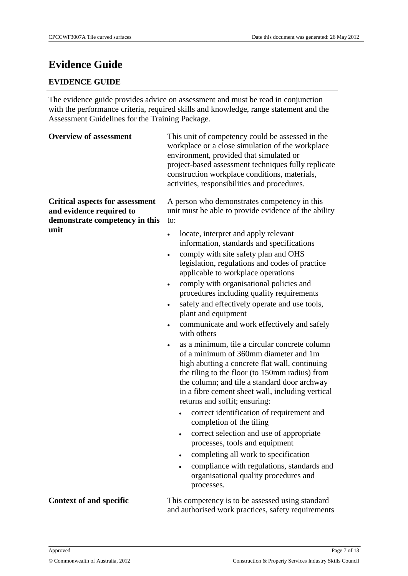# **Evidence Guide**

#### **EVIDENCE GUIDE**

The evidence guide provides advice on assessment and must be read in conjunction with the performance criteria, required skills and knowledge, range statement and the Assessment Guidelines for the Training Package.

| <b>Overview of assessment</b>                                                                                | This unit of competency could be assessed in the<br>workplace or a close simulation of the workplace<br>environment, provided that simulated or<br>project-based assessment techniques fully replicate<br>construction workplace conditions, materials,<br>activities, responsibilities and procedures.                                                                                                                                                                                                                                                                                                                                                                                                                                                                                                                                                                                                                                                                                                                                                                                                                                                                                                                                                   |
|--------------------------------------------------------------------------------------------------------------|-----------------------------------------------------------------------------------------------------------------------------------------------------------------------------------------------------------------------------------------------------------------------------------------------------------------------------------------------------------------------------------------------------------------------------------------------------------------------------------------------------------------------------------------------------------------------------------------------------------------------------------------------------------------------------------------------------------------------------------------------------------------------------------------------------------------------------------------------------------------------------------------------------------------------------------------------------------------------------------------------------------------------------------------------------------------------------------------------------------------------------------------------------------------------------------------------------------------------------------------------------------|
| <b>Critical aspects for assessment</b><br>and evidence required to<br>demonstrate competency in this<br>unit | A person who demonstrates competency in this<br>unit must be able to provide evidence of the ability<br>to:<br>locate, interpret and apply relevant<br>$\bullet$<br>information, standards and specifications<br>comply with site safety plan and OHS<br>legislation, regulations and codes of practice<br>applicable to workplace operations<br>comply with organisational policies and<br>$\bullet$<br>procedures including quality requirements<br>safely and effectively operate and use tools,<br>$\bullet$<br>plant and equipment<br>communicate and work effectively and safely<br>$\bullet$<br>with others<br>as a minimum, tile a circular concrete column<br>of a minimum of 360mm diameter and 1m<br>high abutting a concrete flat wall, continuing<br>the tiling to the floor (to 150mm radius) from<br>the column; and tile a standard door archway<br>in a fibre cement sheet wall, including vertical<br>returns and soffit; ensuring:<br>correct identification of requirement and<br>completion of the tiling<br>correct selection and use of appropriate<br>processes, tools and equipment<br>completing all work to specification<br>compliance with regulations, standards and<br>organisational quality procedures and<br>processes. |
| <b>Context of and specific</b>                                                                               | This competency is to be assessed using standard<br>and authorised work practices, safety requirements                                                                                                                                                                                                                                                                                                                                                                                                                                                                                                                                                                                                                                                                                                                                                                                                                                                                                                                                                                                                                                                                                                                                                    |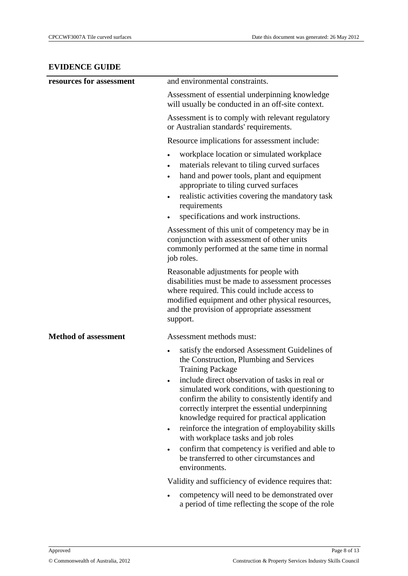### **EVIDENCE GUIDE**

| resources for assessment    | and environmental constraints.                                                                                                                                                                                                                                                                                                                                                |
|-----------------------------|-------------------------------------------------------------------------------------------------------------------------------------------------------------------------------------------------------------------------------------------------------------------------------------------------------------------------------------------------------------------------------|
|                             | Assessment of essential underpinning knowledge<br>will usually be conducted in an off-site context.                                                                                                                                                                                                                                                                           |
|                             | Assessment is to comply with relevant regulatory<br>or Australian standards' requirements.                                                                                                                                                                                                                                                                                    |
|                             | Resource implications for assessment include:                                                                                                                                                                                                                                                                                                                                 |
|                             | workplace location or simulated workplace<br>$\bullet$<br>materials relevant to tiling curved surfaces<br>hand and power tools, plant and equipment<br>appropriate to tiling curved surfaces<br>realistic activities covering the mandatory task<br>requirements<br>specifications and work instructions.                                                                     |
|                             | Assessment of this unit of competency may be in<br>conjunction with assessment of other units<br>commonly performed at the same time in normal<br>job roles.                                                                                                                                                                                                                  |
|                             | Reasonable adjustments for people with<br>disabilities must be made to assessment processes<br>where required. This could include access to<br>modified equipment and other physical resources,<br>and the provision of appropriate assessment<br>support.                                                                                                                    |
| <b>Method of assessment</b> | Assessment methods must:                                                                                                                                                                                                                                                                                                                                                      |
|                             | satisfy the endorsed Assessment Guidelines of<br>the Construction, Plumbing and Services<br><b>Training Package</b><br>include direct observation of tasks in real or<br>simulated work conditions, with questioning to<br>confirm the ability to consistently identify and<br>correctly interpret the essential underpinning<br>knowledge required for practical application |
|                             | reinforce the integration of employability skills<br>$\bullet$<br>with workplace tasks and job roles                                                                                                                                                                                                                                                                          |
|                             | confirm that competency is verified and able to<br>$\bullet$<br>be transferred to other circumstances and<br>environments.                                                                                                                                                                                                                                                    |
|                             | Validity and sufficiency of evidence requires that:                                                                                                                                                                                                                                                                                                                           |
|                             | competency will need to be demonstrated over<br>a period of time reflecting the scope of the role                                                                                                                                                                                                                                                                             |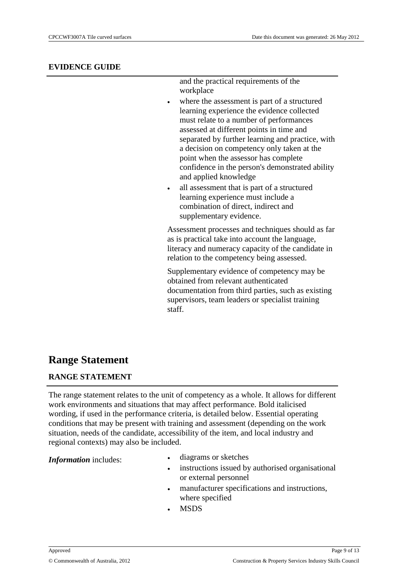#### **EVIDENCE GUIDE**

and the practical requirements of the workplace

- where the assessment is part of a structured learning experience the evidence collected must relate to a number of performances assessed at different points in time and separated by further learning and practice, with a decision on competency only taken at the point when the assessor has complete confidence in the person's demonstrated ability and applied knowledge
- all assessment that is part of a structured learning experience must include a combination of direct, indirect and supplementary evidence.

Assessment processes and techniques should as far as is practical take into account the language, literacy and numeracy capacity of the candidate in relation to the competency being assessed.

Supplementary evidence of competency may be obtained from relevant authenticated documentation from third parties, such as existing supervisors, team leaders or specialist training staff.

### **Range Statement**

#### **RANGE STATEMENT**

The range statement relates to the unit of competency as a whole. It allows for different work environments and situations that may affect performance. Bold italicised wording, if used in the performance criteria, is detailed below. Essential operating conditions that may be present with training and assessment (depending on the work situation, needs of the candidate, accessibility of the item, and local industry and regional contexts) may also be included.

- *Information* includes: <br>  $\bullet$  diagrams or sketches
	- instructions issued by authorised organisational or external personnel
	- manufacturer specifications and instructions, where specified
	- **MSDS**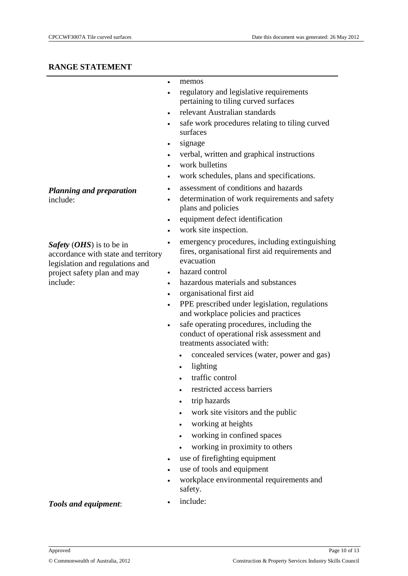#### **RANGE STATEMENT**

#### • memos

- regulatory and legislative requirements pertaining to tiling curved surfaces
- relevant Australian standards
- safe work procedures relating to tiling curved surfaces
- signage
- verbal, written and graphical instructions
- work bulletins
- work schedules, plans and specifications.
- assessment of conditions and hazards
- determination of work requirements and safety plans and policies
- equipment defect identification
- work site inspection.

 emergency procedures, including extinguishing fires, organisational first aid requirements and evacuation

- hazard control
- hazardous materials and substances
- organisational first aid
- PPE prescribed under legislation, regulations and workplace policies and practices
- safe operating procedures, including the conduct of operational risk assessment and treatments associated with:
	- concealed services (water, power and gas)
	- lighting
	- traffic control
	- restricted access barriers
	- trip hazards
	- work site visitors and the public
	- working at heights
	- working in confined spaces
	- working in proximity to others
- use of firefighting equipment
- use of tools and equipment
- workplace environmental requirements and safety.

#### *Tools and equipment*:

include:

*Planning and preparation* include:

*Safety* (*OHS*) is to be in

include:

accordance with state and territory legislation and regulations and project safety plan and may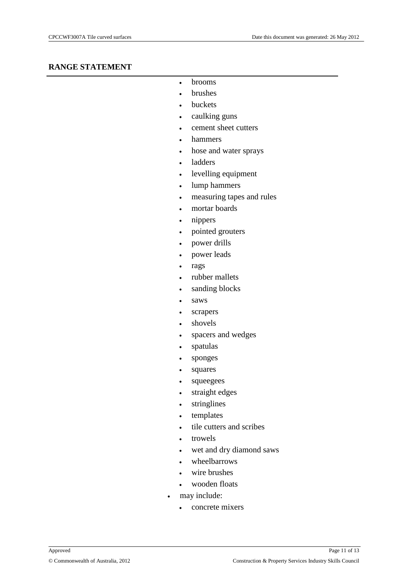#### **RANGE STATEMENT**

- brooms
- brushes
- buckets
- caulking guns
- cement sheet cutters
- hammers
- hose and water sprays
- ladders
- levelling equipment
- lump hammers
- measuring tapes and rules
- mortar boards
- nippers
- pointed grouters
- power drills
- power leads
- rags
- rubber mallets
- sanding blocks
- saws
- scrapers
- shovels
- spacers and wedges
- spatulas
- sponges
- squares
- squeegees
- straight edges
- stringlines
- templates
- tile cutters and scribes
- trowels
- wet and dry diamond saws
- wheelbarrows
- wire brushes
- wooden floats
- may include:
	- concrete mixers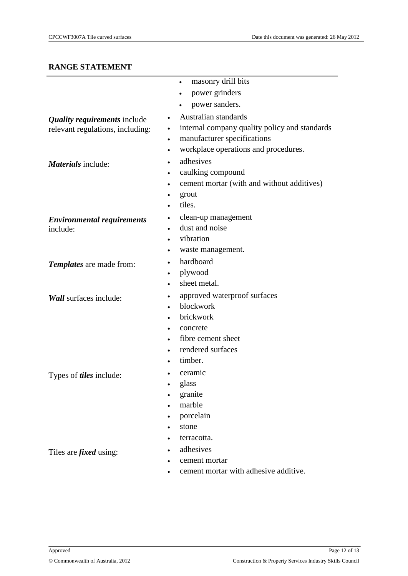#### **RANGE STATEMENT**

|                                                                         | masonry drill bits<br>$\bullet$                                                                                                                        |
|-------------------------------------------------------------------------|--------------------------------------------------------------------------------------------------------------------------------------------------------|
|                                                                         | power grinders<br>٠                                                                                                                                    |
|                                                                         | power sanders.                                                                                                                                         |
| <b>Quality requirements</b> include<br>relevant regulations, including: | Australian standards<br>٠<br>internal company quality policy and standards<br>manufacturer specifications<br>٠<br>workplace operations and procedures. |
| <b>Materials</b> include:                                               | adhesives<br>$\bullet$<br>caulking compound<br>٠<br>cement mortar (with and without additives)<br>٠<br>grout<br>tiles.                                 |
| <b>Environmental requirements</b><br>include:                           | clean-up management<br>٠<br>dust and noise<br>٠<br>vibration<br>waste management.<br>٠                                                                 |
| Templates are made from:                                                | hardboard<br>$\bullet$<br>plywood<br>٠<br>sheet metal.                                                                                                 |
| <b>Wall</b> surfaces include:                                           | approved waterproof surfaces<br>٠<br>blockwork<br>$\bullet$<br>brickwork<br>concrete<br>$\bullet$                                                      |
| Types of <i>tiles</i> include:                                          | fibre cement sheet<br>$\bullet$<br>rendered surfaces<br>timber.<br>$\bullet$<br>ceramic<br>glass<br>granite<br>marble                                  |
|                                                                         | porcelain<br>stone<br>terracotta.<br>adhesiyes                                                                                                         |

Tiles are *fixed* using: <br> **adhesives** 

- cement mortar
- cement mortar with adhesive additive.